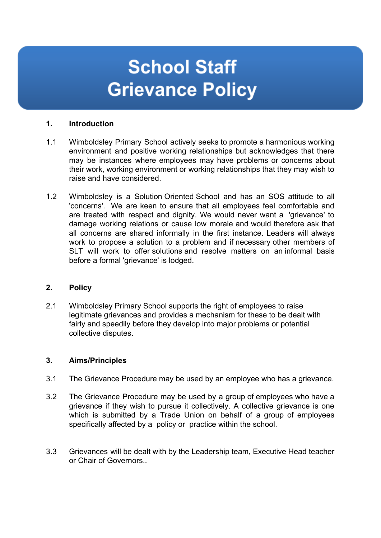# **School Staff Grievance Policy**

## **1. Introduction**

- 1.1 Wimboldsley Primary School actively seeks to promote a harmonious working environment and positive working relationships but acknowledges that there may be instances where employees may have problems or concerns about their work, working environment or working relationships that they may wish to raise and have considered.
- 1.2 Wimboldsley is a Solution Oriented School and has an SOS attitude to all 'concerns'. We are keen to ensure that all employees feel comfortable and are treated with respect and dignity. We would never want a 'grievance' to damage working relations or cause low morale and would therefore ask that all concerns are shared informally in the first instance. Leaders will always work to propose a solution to a problem and if necessary other members of SLT will work to offer solutions and resolve matters on an informal basis before a formal 'grievance' is lodged.

### **2. Policy**

2.1 Wimboldsley Primary School supports the right of employees to raise legitimate grievances and provides a mechanism for these to be dealt with fairly and speedily before they develop into major problems or potential collective disputes.

### **3. Aims/Principles**

- 3.1 The Grievance Procedure may be used by an employee who has a grievance.
- 3.2 The Grievance Procedure may be used by a group of employees who have a grievance if they wish to pursue it collectively. A collective grievance is one which is submitted by a Trade Union on behalf of a group of employees specifically affected by a policy or practice within the school.
- 3.3 Grievances will be dealt with by the Leadership team, Executive Head teacher or Chair of Governors..